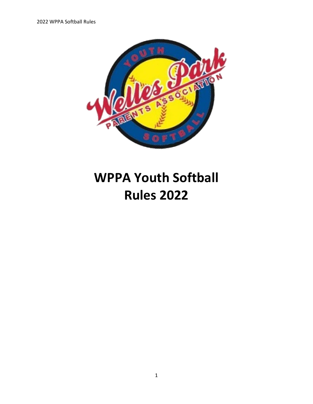

# **WPPA Youth Softball Rules 2022**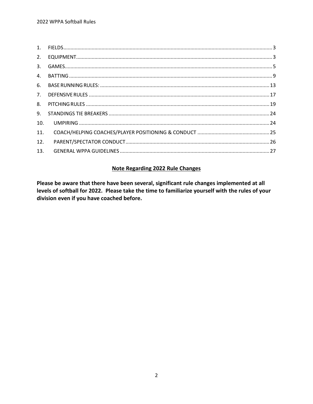| 2.  |  |
|-----|--|
|     |  |
|     |  |
|     |  |
|     |  |
| 8.  |  |
| 9.  |  |
| 10. |  |
| 11. |  |
| 12. |  |
| 13. |  |

## **Note Regarding 2022 Rule Changes**

Please be aware that there have been several, significant rule changes implemented at all levels of softball for 2022. Please take the time to familiarize yourself with the rules of your division even if you have coached before.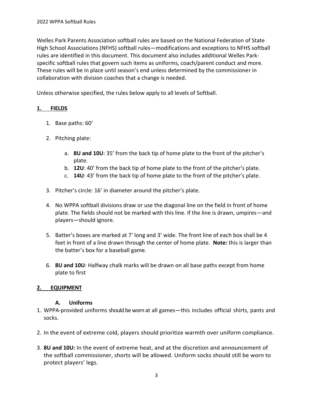Welles Park Parents Association softball rules are based on the National Federation of State High School Associations (NFHS) softball rules—modifications and exceptions to NFHS softball rules are identified in this document. This document also includes additional Welles Parkspecific softball rules that govern such items as uniforms, coach/parent conduct and more. These rules will be in place until season's end unless determined by the commissioner in collaboration with division coaches that a change is needed.

Unless otherwise specified, the rules below apply to all levels of Softball.

# <span id="page-2-0"></span>**1. FIELDS**

- 1. Base paths: 60'
- 2. Pitching plate:
	- a. **8U and 10U**: 35' from the back tip of home plate to the front of the pitcher's plate.
	- b. **12U**: 40' from the back tip of home plate to the front of the pitcher's plate.
	- c. **14U**: 43' from the back tip of home plate to the front of the pitcher's plate.
- 3. Pitcher's circle: 16' in diameter around the pitcher's plate.
- 4. No WPPA softball divisions draw or use the diagonal line on the field in front of home plate. The fields should not be marked with this line. If the line is drawn, umpires—and players—should ignore.
- 5. Batter's boxes are marked at 7' long and 3' wide. The front line of each box shall be 4 feet in front of a line drawn through the center of home plate. **Note:** this is larger than the batter's box for a baseball game.
- 6. **8U and 10U**: Halfway chalk marks will be drawn on all base paths except from home plate to first

# <span id="page-2-1"></span>**2. EQUIPMENT**

#### **A. Uniforms**

- 1. WPPA-provided uniforms should be worn at all games—this includes official shirts, pants and socks.
- 2. In the event of extreme cold, players should prioritize warmth over uniform compliance.
- 3. **8U and 10U:** In the event of extreme heat, and at the discretion and announcement of the softball commissioner, shorts will be allowed. Uniform socks should still be worn to protect players' legs.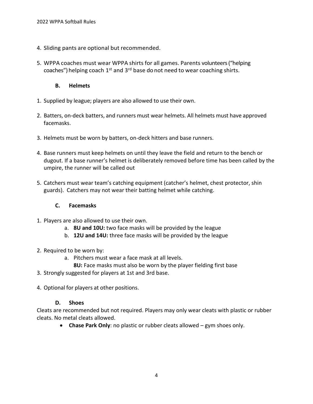- 4. Sliding pants are optional but recommended.
- 5. WPPA coaches must wear WPPA shirts for all games. Parents volunteers("helping coaches") helping coach  $1^{st}$  and  $3^{rd}$  base do not need to wear coaching shirts.

#### **B. Helmets**

- 1. Supplied by league; players are also allowed to use their own.
- 2. Batters, on-deck batters, and runners must wear helmets. All helmets must have approved facemasks.
- 3. Helmets must be worn by batters, on-deck hitters and base runners.
- 4. Base runners must keep helmets on until they leave the field and return to the bench or dugout. If a base runner's helmet is deliberately removed before time has been called by the umpire, the runner will be called out
- 5. Catchers must wear team's catching equipment (catcher's helmet, chest protector, shin guards). Catchers may not wear their batting helmet while catching.

#### **C. Facemasks**

- 1. Players are also allowed to use their own.
	- a. **8U and 10U:** two face masks will be provided by the league
	- b. **12U and 14U:** three face masks will be provided by the league
- 2. Required to be worn by:
	- a. Pitchers must wear a face mask at all levels.
		- **8U:** Face masks must also be worn by the player fielding first base
- 3. Strongly suggested for players at 1st and 3rd base.
- 4. Optional for players at other positions.

#### **D. Shoes**

Cleats are recommended but not required. Players may only wear cleats with plastic or rubber cleats. No metal cleats allowed.

• **Chase Park Only**: no plastic or rubber cleats allowed – gym shoes only.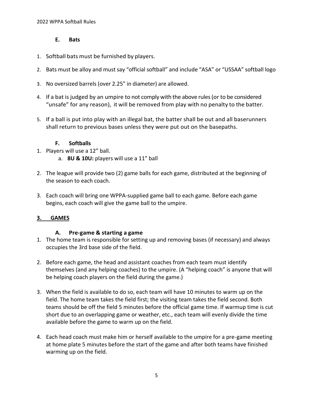#### **E. Bats**

- 1. Softball bats must be furnished by players.
- 2. Bats must be alloy and must say "official softball" and include "ASA" or "USSAA" softball logo
- 3. No oversized barrels (over 2.25" in diameter) are allowed.
- 4. If a bat is judged by an umpire to not comply with the above rules(or to be considered "unsafe" for any reason), it will be removed from play with no penalty to the batter.
- 5. If a ball is put into play with an illegal bat, the batter shall be out and all baserunners shall return to previous bases unless they were put out on the basepaths.

#### **F. Softballs**

- 1. Players will use a 12" ball.
	- a. **8U & 10U:** players will use a 11" ball
- 2. The league will provide two (2) game balls for each game, distributed at the beginning of the season to each coach.
- 3. Each coach will bring one WPPA-supplied game ball to each game. Before each game begins, each coach will give the game ball to the umpire.

# <span id="page-4-0"></span>**3. GAMES**

#### **A. Pre-game & starting a game**

- 1. The home team is responsible for setting up and removing bases (if necessary) and always occupies the 3rd base side of the field.
- 2. Before each game, the head and assistant coaches from each team must identify themselves (and any helping coaches) to the umpire. (A "helping coach" is anyone that will be helping coach players on the field during the game.)
- 3. When the field is available to do so, each team will have 10 minutes to warm up on the field. The home team takes the field first; the visiting team takes the field second. Both teams should be off the field 5 minutes before the official game time. If warmup time is cut short due to an overlapping game or weather, etc., each team will evenly divide the time available before the game to warm up on the field.
- 4. Each head coach must make him or herself available to the umpire for a pre-game meeting at home plate 5 minutes before the start of the game and after both teams have finished warming up on the field.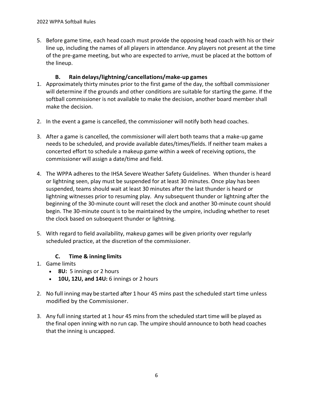5. Before game time, each head coach must provide the opposing head coach with his or their line up, including the names of all players in attendance. Any players not present at the time of the pre-game meeting, but who are expected to arrive, must be placed at the bottom of the lineup.

## **B. Rain delays/lightning/cancellations/make-up games**

- 1. Approximately thirty minutes prior to the first game of the day, the softball commissioner will determine if the grounds and other conditions are suitable for starting the game. If the softball commissioner is not available to make the decision, another board member shall make the decision.
- 2. In the event a game is cancelled, the commissioner will notify both head coaches.
- 3. After a game is cancelled, the commissioner will alert both teams that a make-up game needs to be scheduled, and provide available dates/times/fields. If neither team makes a concerted effort to schedule a makeup game within a week of receiving options, the commissioner will assign a date/time and field.
- 4. The WPPA adheres to the IHSA Severe Weather Safety Guidelines. When thunder is heard or lightning seen, play must be suspended for at least 30 minutes. Once play has been suspended, teams should wait at least 30 minutes after the last thunder is heard or lightning witnesses prior to resuming play. Any subsequent thunder or lightning after the beginning of the 30-minute count will reset the clock and another 30-minute count should begin. The 30-minute count is to be maintained by the umpire, including whether to reset the clock based on subsequent thunder or lightning.
- 5. With regard to field availability, makeup games will be given priority over regularly scheduled practice, at the discretion of the commissioner.

#### **C. Time & inning limits**

- 1. Game limits
	- **8U:** 5 innings or 2 hours
	- **10U, 12U, and 14U:** 6 innings or 2 hours
- 2. No full inning may be started after 1 hour 45 mins past the scheduled start time unless modified by the Commissioner.
- 3. Any full inning started at 1 hour 45 mins from the scheduled start time will be played as the final open inning with no run cap. The umpire should announce to both head coaches that the inning is uncapped.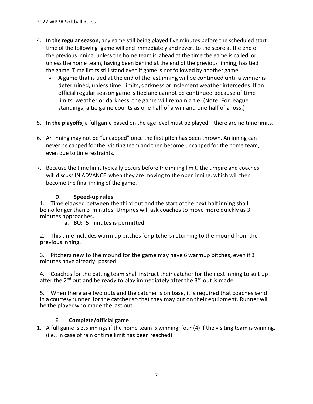- 4. **In the regular season**, any game still being played five minutes before the scheduled start time of the following game will end immediately and revert to the score at the end of the previous inning, unless the home team is ahead at the time the game is called, or unlessthe home team, having been behind at the end of the previous inning, has tied the game. Time limits still stand even if game is not followed by another game.
	- A game that istied at the end of the last inning will be continued until a winner is determined, unless time limits, darkness or inclement weather intercedes. If an official regular season game is tied and cannot be continued because of time limits, weather or darkness, the game will remain a tie. (Note: For league standings, a tie game counts as one half of a win and one half of a loss.)
- 5. **In the playoffs**, a full game based on the age level must be played—there are no time limits.
- 6. An inning may not be "uncapped" once the first pitch has been thrown. An inning can never be capped for the visiting team and then become uncapped for the home team, even due to time restraints.
- 7. Because the time limit typically occurs before the inning limit, the umpire and coaches will discuss IN ADVANCE when they are moving to the open inning, which will then become the final inning of the game.

## **D. Speed-up rules**

1. Time elapsed between the third out and the start of the next half inning shall be no longer than 3 minutes. Umpires will ask coaches to move more quickly as 3 minutes approaches.

a. **8U:** 5 minutes is permitted.

2. This time includes warm up pitches for pitchers returning to the mound from the previousinning.

3. Pitchers new to the mound for the game may have 6 warmup pitches, even if 3 minutes have already passed.

4. Coaches for the batting team shall instruct their catcher for the next inning to suit up after the  $2^{nd}$  out and be ready to play immediately after the  $3^{rd}$  out is made.

5. When there are two outs and the catcher is on base, it is required that coaches send in a courtesy runner for the catcher so that they may put on their equipment. Runner will be the player who made the last out.

# **E. Complete/official game**

1. A full game is 3.5 innings if the home team is winning; four (4) if the visiting team is winning. (i.e., in case of rain or time limit has been reached).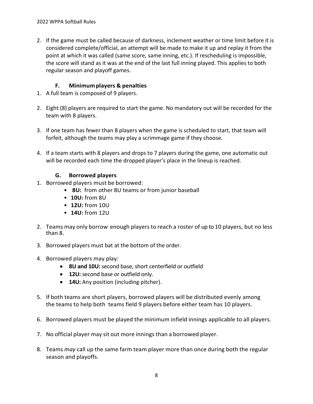2. If the game must be called because of darkness, inclement weather or time limit before it is considered complete/official, an attempt will be made to make it up and replay it from the point at which it was called (same score, same inning, etc.). If rescheduling is impossible, the score will stand as it was at the end of the last full inning played. This applies to both regular season and playoff games.

## **F. Minimumplayers & penalties**

- 1. A full team is composed of 9 players.
- 2. Eight (8) players are required to start the game. No mandatory out will be recorded for the team with 8 players.
- 3. If one team has fewer than 8 players when the game is scheduled to start, that team will forfeit, although the teams may play a scrimmage game if they choose.
- 4. If a team starts with 8 players and drops to 7 players during the game, one automatic out will be recorded each time the dropped player's place in the lineup is reached.

#### **G. Borrowed players**

- 1. Borrowed players must be borrowed:
	- **8U:** from other 8U teams or from junior baseball
	- **10U:** from 8U
	- **12U:** from 10U
	- **14U:** from 12U
- 2. Teams may only borrow enough players to reach a roster of up to 10 players, but no less than 8.
- 3. Borrowed players must bat at the bottom of the order.
- 4. Borrowed players may play:
	- **8U and 10U:** second base, short centerfield or outfield
	- **12U:** second base or outfield only.
	- **14U:** Any position (including pitcher).
- 5. If both teams are short players, borrowed players will be distributed evenly among the teams to help both teams field 9 players before either team has 10 players.
- 6. Borrowed players must be played the minimum infield innings applicable to all players.
- 7. No official player may sit out more innings than a borrowed player.
- 8. Teams *may* call up the same farm team player more than once during both the regular season and playoffs.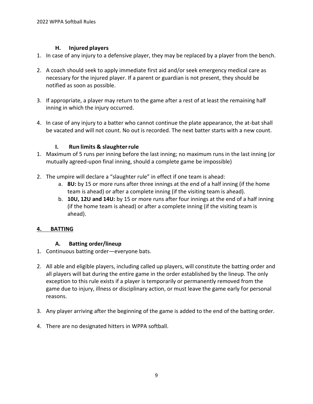## **H. Injured players**

- 1. In case of any injury to a defensive player, they may be replaced by a player from the bench.
- 2. A coach should seek to apply immediate first aid and/or seek emergency medical care as necessary for the injured player. If a parent or guardian is not present, they should be notified as soon as possible.
- 3. If appropriate, a player may return to the game after a rest of at least the remaining half inning in which the injury occurred.
- 4. In case of any injury to a batter who cannot continue the plate appearance, the at-bat shall be vacated and will not count. No out is recorded. The next batter starts with a new count.

# **I. Run limits & slaughterrule**

- 1. Maximum of 5 runs per inning before the last inning; no maximum runs in the last inning (or mutually agreed-upon final inning, should a complete game be impossible)
- 2. The umpire will declare a "slaughter rule" in effect if one team is ahead:
	- a. **8U:** by 15 or more runs after three innings at the end of a half inning (if the home team is ahead) or after a complete inning (if the visiting team is ahead).
	- b. **10U, 12U and 14U:** by 15 or more runs after four innings at the end of a half inning (if the home team is ahead) or after a complete inning (if the visiting team is ahead).

# <span id="page-8-0"></span>**4. BATTING**

# **A. Batting order/lineup**

- 1. Continuous batting order—everyone bats.
- 2. All able and eligible players, including called up players, will constitute the batting order and all players will bat during the entire game in the order established by the lineup. The only exception to this rule exists if a player is temporarily or permanently removed from the game due to injury, illness or disciplinary action, or must leave the game early for personal reasons.
- 3. Any player arriving after the beginning of the game is added to the end of the batting order.
- 4. There are no designated hitters in WPPA softball.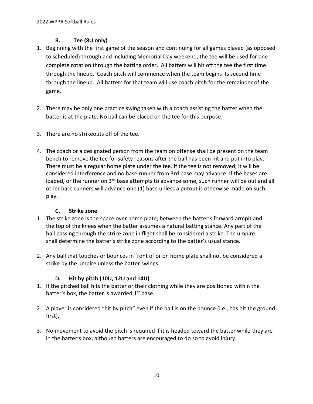# **B. Tee (8U only)**

- 1. Beginning with the first game of the season and continuing for all games played (as opposed to scheduled) through and including Memorial Day weekend, the tee will be used for one complete rotation through the batting order. All batters will hit off the tee the first time through the lineup. Coach pitch will commence when the team begins its second time through the lineup. All batters for that team will use coach pitch for the remainder of the game.
- 2. There may be only one practice swing taken with a coach assisting the batter when the batter is at the plate. No ball can be placed on the tee for this purpose.
- 3. There are no strikeouts off of the tee.
- 4. The coach or a designated person from the team on offense shall be present on the team bench to remove the tee for safety reasons after the ball has been hit and put into play. There must be a regular home plate under the tee. If the tee is not removed, it will be considered interference and no base runner from 3rd base may advance. If the bases are loaded, or the runner on 3<sup>rd</sup> base attempts to advance some, such runner will be out and all other base runners will advance one (1) base unless a putout is otherwise made on such play.

# **C. Strike zone**

- 1. The strike zone is the space over home plate, between the batter's forward armpit and the top of the knees when the batter assumes a natural batting stance. Any part of the ball passing through the strike zone in flight shall be considered a strike. The umpire shall determine the batter's strike zone according to the batter's usual stance.
- 2. Any ball that touches or bounces in front of or on home plate shall not be considered a strike by the umpire unless the batter swings.

# **D. Hit by pitch (10U, 12U and 14U)**

- 1. If the pitched ball hits the batter or their clothing while they are positioned within the batter's box, the batter is awarded  $1<sup>st</sup>$  base.
- 2. A player is considered "hit by pitch" even if the ball is on the bounce (i.e., has hit the ground first).
- 3. No movement to avoid the pitch is required if it is headed toward the batter while they are in the batter's box, although batters are encouraged to do so to avoid injury.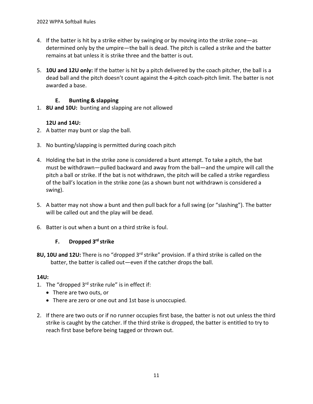- 4. If the batter is hit by a strike either by swinging or by moving into the strike zone—as determined only by the umpire—the ball is dead. The pitch is called a strike and the batter remains at bat unless it is strike three and the batter is out.
- 5. **10U and 12U only:** If the batter is hit by a pitch delivered by the coach pitcher, the ball is a dead ball and the pitch doesn't count against the 4-pitch coach-pitch limit. The batter is not awarded a base.

## **E. Bunting & slapping**

1. **8U and 10U:** bunting and slapping are not allowed

## **12U and 14U:**

- 2. A batter may bunt or slap the ball.
- 3. No bunting/slapping is permitted during coach pitch
- 4. Holding the bat in the strike zone is considered a bunt attempt. To take a pitch, the bat must be withdrawn—pulled backward and away from the ball—and the umpire will call the pitch a ball or strike. If the bat is not withdrawn, the pitch will be called a strike regardless of the ball's location in the strike zone (as a shown bunt not withdrawn is considered a swing).
- 5. A batter may not show a bunt and then pull back for a full swing (or "slashing"). The batter will be called out and the play will be dead.
- 6. Batter is out when a bunt on a third strike is foul.

# **F. Dropped 3 rd strike**

**8U, 10U and 12U:** There is no "dropped 3<sup>rd</sup> strike" provision. If a third strike is called on the batter, the batter is called out—even if the catcher drops the ball.

#### **14U:**

- 1. The "dropped  $3<sup>rd</sup>$  strike rule" is in effect if:
	- There are two outs, or
	- There are zero or one out and 1st base is unoccupied.
- 2. If there are two outs or if no runner occupies first base, the batter is not out unless the third strike is caught by the catcher. If the third strike is dropped, the batter is entitled to try to reach first base before being tagged or thrown out.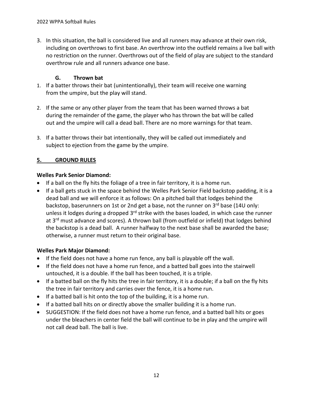3. In this situation, the ball is considered live and all runners may advance at their own risk, including on overthrows to first base. An overthrow into the outfield remains a live ball with no restriction on the runner. Overthrows out of the field of play are subject to the standard overthrow rule and all runners advance one base.

## **G. Thrown bat**

- 1. If a batter throws their bat (unintentionally), their team will receive one warning from the umpire, but the play will stand.
- 2. If the same or any other player from the team that has been warned throws a bat during the remainder of the game, the player who has thrown the bat will be called out and the umpire will call a dead ball. There are no more warnings for that team.
- 3. If a batter throws their bat intentionally, they will be called out immediately and subject to ejection from the game by the umpire.

## **5. GROUND RULES**

#### **Welles Park Senior Diamond:**

- If a ball on the fly hits the foliage of a tree in fair territory, it is a home run.
- If a ball gets stuck in the space behind the Welles Park Senior Field backstop padding, it is a dead ball and we will enforce it as follows: On a pitched ball that lodges behind the backstop, baserunners on 1st or 2nd get a base, not the runner on 3rd base (14U only: unless it lodges during a dropped 3<sup>rd</sup> strike with the bases loaded, in which case the runner at 3<sup>rd</sup> must advance and scores). A thrown ball (from outfield or infield) that lodges behind the backstop is a dead ball. A runner halfway to the next base shall be awarded the base; otherwise, a runner must return to their original base.

#### **Welles Park Major Diamond:**

- If the field does not have a home run fence, any ball is playable off the wall.
- If the field does not have a home run fence, and a batted ball goes into the stairwell untouched, it is a double. If the ball has been touched, it is a triple.
- If a batted ball on the fly hits the tree in fair territory, it is a double; if a ball on the fly hits the tree in fair territory and carries over the fence, it is a home run.
- If a batted ball is hit onto the top of the building, it is a home run.
- If a batted ball hits on or directly above the smaller building it is a home run.
- SUGGESTION: If the field does not have a home run fence, and a batted ball hits or goes under the bleachers in center field the ball will continue to be in play and the umpire will not call dead ball. The ball is live.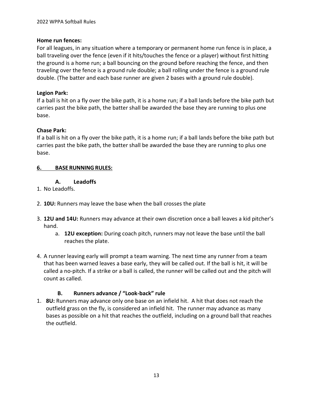### **Home run fences:**

For all leagues, in any situation where a temporary or permanent home run fence is in place, a ball traveling over the fence (even if it hits/touches the fence or a player) without first hitting the ground is a home run; a ball bouncing on the ground before reaching the fence, and then traveling over the fence is a ground rule double; a ball rolling under the fence is a ground rule double. (The batter and each base runner are given 2 bases with a ground rule double).

# **Legion Park:**

If a ball is hit on a fly over the bike path, it is a home run; if a ball lands before the bike path but carries past the bike path, the batter shall be awarded the base they are running to plus one base.

# **Chase Park:**

If a ball is hit on a fly over the bike path, it is a home run; if a ball lands before the bike path but carries past the bike path, the batter shall be awarded the base they are running to plus one base.

## <span id="page-12-0"></span>**6. BASE RUNNINGRULES:**

#### **A. Leadoffs**

- 1. No Leadoffs.
- 2. **10U:** Runners may leave the base when the ball crosses the plate
- 3. **12U and 14U:** Runners may advance at their own discretion once a ball leaves a kid pitcher's hand.
	- a. **12U exception:** During coach pitch, runners may not leave the base until the ball reaches the plate.
- 4. A runner leaving early will prompt a team warning. The next time any runner from a team that has been warned leaves a base early, they will be called out. If the ball is hit, it will be called a no-pitch. If a strike or a ball is called, the runner will be called out and the pitch will count as called.

# **B. Runners advance / "Look-back" rule**

1. **8U:** Runners may advance only one base on an infield hit. A hit that does not reach the outfield grass on the fly, is considered an infield hit. The runner may advance as many bases as possible on a hit that reaches the outfield, including on a ground ball that reaches the outfield.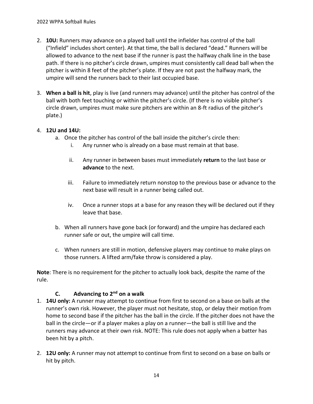- 2. **10U:** Runners may advance on a played ball until the infielder has control of the ball ("Infield" includes short center). At that time, the ball is declared "dead." Runners will be allowed to advance to the next base if the runner is past the halfway chalk line in the base path. If there is no pitcher's circle drawn, umpires must consistently call dead ball when the pitcher is within 8 feet of the pitcher's plate. If they are not past the halfway mark, the umpire will send the runners back to their last occupied base.
- 3. **When a ball is hit**, play is live (and runners may advance) until the pitcher has control of the ball with both feet touching or within the pitcher's circle. (If there is no visible pitcher's circle drawn, umpires must make sure pitchers are within an 8-ft radius of the pitcher's plate.)

## 4. **12U and 14U:**

- a. Once the pitcher has control of the ball inside the pitcher's circle then:
	- i. Any runner who is already on a base must remain at that base.
	- ii. Any runner in between bases must immediately **return** to the last base or **advance** to the next.
	- iii. Failure to immediately return nonstop to the previous base or advance to the next base will result in a runner being called out.
	- iv. Once a runner stops at a base for any reason they will be declared out if they leave that base.
- b. When all runners have gone back (or forward) and the umpire has declared each runner safe or out, the umpire will call time.
- c. When runners are still in motion, defensive players may continue to make plays on those runners. A lifted arm/fake throw is considered a play.

**Note**: There is no requirement for the pitcher to actually look back, despite the name of the rule.

#### **C. Advancing to 2nd on a walk**

- 1. **14U only:** A runner may attempt to continue from first to second on a base on balls at the runner's own risk. However, the player must not hesitate, stop, or delay their motion from home to second base if the pitcher has the ball in the circle. If the pitcher does not have the ball in the circle—or if a player makes a play on a runner—the ball is still live and the runners may advance at their own risk. NOTE: This rule does not apply when a batter has been hit by a pitch.
- 2. **12U only:** A runner may not attempt to continue from first to second on a base on balls or hit by pitch.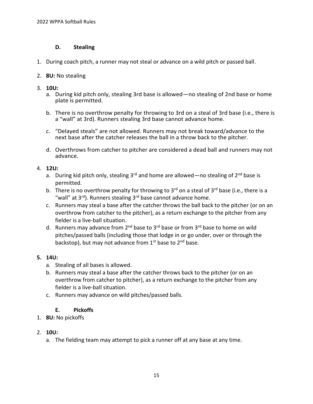#### **D. Stealing**

- 1. During coach pitch, a runner may not steal or advance on a wild pitch or passed ball.
- 2. **8U:** No stealing
- 3. **10U:**
	- a. During kid pitch only, stealing 3rd base is allowed—no stealing of 2nd base or home plate is permitted.
	- b. There is no overthrow penalty for throwing to 3rd on a steal of 3rd base (i.e., there is a "wall" at 3rd). Runners stealing 3rd base cannot advance home.
	- c. "Delayed steals" are not allowed. Runners may not break toward/advance to the next base after the catcher releases the ball in a throw back to the pitcher.
	- d. Overthrows from catcher to pitcher are considered a dead ball and runners may not advance.

#### 4. **12U:**

- a. During kid pitch only, stealing  $3^{rd}$  and home are allowed—no stealing of  $2^{nd}$  base is permitted.
- b. There is no overthrow penalty for throwing to  $3<sup>rd</sup>$  on a steal of  $3<sup>rd</sup>$  base (i.e., there is a "wall" at  $3^{rd}$ ). Runners stealing  $3^{rd}$  base cannot advance home.
- c. Runners may steal a base after the catcher throws the ball back to the pitcher (or on an overthrow from catcher to the pitcher), as a return exchange to the pitcher from any fielder is a live-ball situation.
- d. Runners may advance from 2<sup>nd</sup> base to 3<sup>rd</sup> base or from 3<sup>rd</sup> base to home on wild pitches/passed balls (including those that lodge in or go under, over or through the backstop), but may not advance from  $1<sup>st</sup>$  base to  $2<sup>nd</sup>$  base.

#### **5. 14U:**

- a. Stealing of all bases is allowed.
- b. Runners may steal a base after the catcher throws back to the pitcher (or on an overthrow from catcher to pitcher), as a return exchange to the pitcher from any fielder is a live-ball situation.
- c. Runners may advance on wild pitches/passed balls.

#### **E. Pickoffs**

1. **8U:** No pickoffs

#### 2. **10U:**

a. The fielding team may attempt to pick a runner off at any base at any time.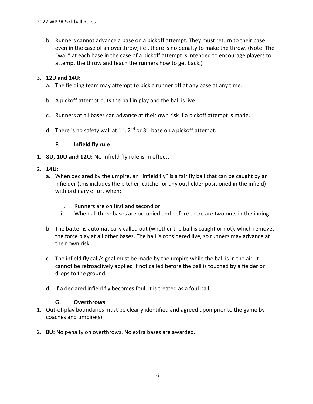b. Runners cannot advance a base on a pickoff attempt. They must return to their base even in the case of an overthrow; i.e., there is no penalty to make the throw. (Note: The "wall" at each base in the case of a pickoff attempt is intended to encourage players to attempt the throw and teach the runners how to get back.)

#### 3. **12U and 14U:**

- a. The fielding team may attempt to pick a runner off at any base at any time.
- b. A pickoff attempt puts the ball in play and the ball is live.
- c. Runners at all bases can advance at their own risk if a pickoff attempt is made.
- d. There is no safety wall at  $1^{st}$ ,  $2^{nd}$  or  $3^{rd}$  base on a pickoff attempt.

#### **F. Infield fly rule**

1. **8U, 10U and 12U:** No infield fly rule is in effect.

#### 2. **14U:**

- a. When declared by the umpire, an "infield fly" is a fair fly ball that can be caught by an infielder (this includes the pitcher, catcher or any outfielder positioned in the infield) with ordinary effort when:
	- i. Runners are on first and second or
	- ii. When all three bases are occupied and before there are two outs in the inning.
- b. The batter is automatically called out (whether the ball is caught or not), which removes the force play at all other bases. The ball is considered live, so runners may advance at their own risk.
- c. The infield fly call/signal must be made by the umpire while the ball is in the air. It cannot be retroactively applied if not called before the ball is touched by a fielder or drops to the ground.
- d. If a declared infield fly becomes foul, it is treated as a foul ball.

#### **G. Overthrows**

- 1. Out-of-play boundaries must be clearly identified and agreed upon prior to the game by coaches and umpire(s).
- 2. **8U:** No penalty on overthrows. No extra bases are awarded.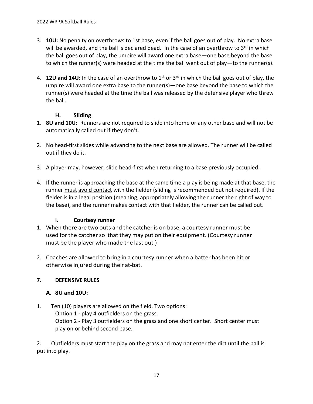- 3. **10U:** No penalty on overthrows to 1st base, even if the ball goes out of play. No extra base will be awarded, and the ball is declared dead. In the case of an overthrow to  $3^{rd}$  in which the ball goes out of play, the umpire will award one extra base—one base beyond the base to which the runner(s) were headed at the time the ball went out of play—to the runner(s).
- 4. **12U and 14U:** In the case of an overthrow to 1st or 3rd in which the ball goes out of play, the umpire will award one extra base to the runner(s)—one base beyond the base to which the runner(s) were headed at the time the ball was released by the defensive player who threw the ball.

## **H. Sliding**

- 1. **8U and 10U:** Runners are not required to slide into home or any other base and will not be automatically called out if they don't.
- 2. No head-first slides while advancing to the next base are allowed. The runner will be called out if they do it.
- 3. A player may, however, slide head-first when returning to a base previously occupied.
- 4. If the runner is approaching the base at the same time a play is being made at that base, the runner must avoid contact with the fielder (sliding is recommended but not required). If the fielder is in a legal position (meaning, appropriately allowing the runner the right of way to the base), and the runner makes contact with that fielder, the runner can be called out.

#### **I. Courtesy runner**

- 1. When there are two outs and the catcher is on base, a courtesy runner must be used for the catcher so that they may put on their equipment. (Courtesy runner must be the player who made the last out.)
- 2. Coaches are allowed to bring in a courtesy runner when a batter has been hit or otherwise injured during their at-bat.

# <span id="page-16-0"></span>**7. DEFENSIVE RULES**

# **A. 8U and 10U:**

1. Ten (10) players are allowed on the field. Two options: Option 1 - play 4 outfielders on the grass. Option 2 - Play 3 outfielders on the grass and one short center. Short center must play on or behind second base.

2. Outfielders must start the play on the grass and may not enter the dirt until the ball is put into play.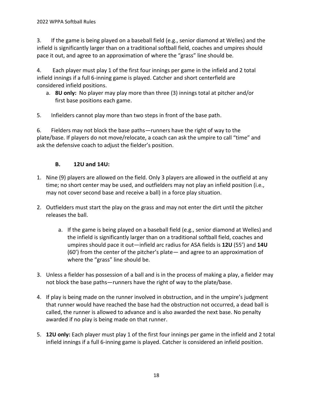3. If the game is being played on a baseball field (e.g., senior diamond at Welles) and the infield is significantly larger than on a traditional softball field, coaches and umpires should pace it out, and agree to an approximation of where the "grass" line should be.

4. Each player must play 1 of the first four innings per game in the infield and 2 total infield innings if a full 6-inning game is played. Catcher and short centerfield are considered infield positions.

- a. **8U only:** No player may play more than three (3) innings total at pitcher and/or first base positions each game.
- 5. Infielders cannot play more than two steps in front of the base path.

6. Fielders may not block the base paths—runners have the right of way to the plate/base. If players do not move/relocate, a coach can ask the umpire to call "time" and ask the defensive coach to adjust the fielder's position.

## **B. 12U and 14U:**

- 1. Nine (9) players are allowed on the field. Only 3 players are allowed in the outfield at any time; no short center may be used, and outfielders may not play an infield position (i.e., may not cover second base and receive a ball) in a force play situation.
- 2. Outfielders must start the play on the grass and may not enter the dirt until the pitcher releases the ball.
	- a. If the game is being played on a baseball field (e.g., senior diamond at Welles) and the infield is significantly larger than on a traditional softball field, coaches and umpires should pace it out—infield arc radius for ASA fields is **12U** (55') and **14U** (60') from the center of the pitcher's plate— and agree to an approximation of where the "grass" line should be.
- 3. Unless a fielder has possession of a ball and is in the process of making a play, a fielder may not block the base paths—runners have the right of way to the plate/base.
- 4. If play is being made on the runner involved in obstruction, and in the umpire's judgment that runner would have reached the base had the obstruction not occurred, a dead ball is called, the runner is allowed to advance and is also awarded the next base. No penalty awarded if no play is being made on that runner.
- 5. **12U only:** Each player must play 1 of the first four innings per game in the infield and 2 total infield innings if a full 6-inning game is played. Catcher is considered an infield position.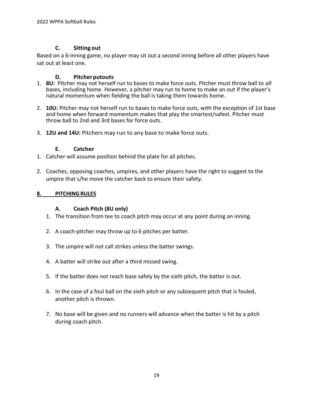#### **C. Sitting out**

Based on a 6-inning game, no player may sit out a second inning before all other players have sat out at least one.

#### **D. Pitcherputouts**

- 1. **8U:** Pitcher may not herself run to bases to make force outs. Pitcher must throw ball to *all* bases, including home. However, a pitcher may run to home to make an out if the player's natural momentum when fielding the ball is taking them towards home.
- 2. **10U:** Pitcher may not herself run to bases to make force outs, with the exception of 1st base and home when forward momentum makes that play the smartest/safest. Pitcher must throw ball to 2nd and 3rd bases for force outs.
- 3. **12U and 14U:** Pitchers may run to any base to make force outs.

#### **E. Catcher**

- 1. Catcher will assume position behind the plate for all pitches.
- 2. Coaches, opposing coaches, umpires, and other players have the right to suggest to the umpire that s/he move the catcher back to ensure their safety.

#### <span id="page-18-0"></span>**8. PITCHINGRULES**

#### **A. Coach Pitch (8U only)**

- 1. The transition from tee to coach pitch may occur at any point during an inning.
- 2. A coach-pitcher may throw up to 6 pitches per batter.
- 3. The umpire will not call strikes unless the batter swings.
- 4. A batter will strike out after a third missed swing.
- 5. If the batter does not reach base safely by the sixth pitch, the batter is out.
- 6. In the case of a foul ball on the sixth pitch or any subsequent pitch that is fouled, another pitch is thrown.
- 7. No base will be given and no runners will advance when the batter is hit by a pitch during coach pitch.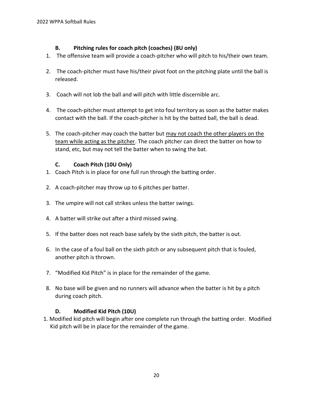## **B. Pitching rules for coach pitch (coaches) (8U only)**

- 1. The offensive team will provide a coach-pitcher who will pitch to his/their own team.
- 2. The coach-pitcher must have his/their pivot foot on the pitching plate until the ball is released.
- 3. Coach will not lob the ball and will pitch with little discernible arc.
- 4. The coach-pitcher must attempt to get into foul territory as soon as the batter makes contact with the ball. If the coach-pitcher is hit by the batted ball, the ball is dead.
- 5. The coach-pitcher may coach the batter but may not coach the other players on the team while acting as the pitcher. The coach pitcher can direct the batter on how to stand, etc, but may not tell the batter when to swing the bat.

## **C. Coach Pitch (10U Only)**

- 1. Coach Pitch is in place for one full run through the batting order.
- 2. A coach-pitcher may throw up to 6 pitches per batter.
- 3. The umpire will not call strikes unless the batter swings.
- 4. A batter will strike out after a third missed swing.
- 5. If the batter does not reach base safely by the sixth pitch, the batter is out.
- 6. In the case of a foul ball on the sixth pitch or any subsequent pitch that is fouled, another pitch is thrown.
- 7. "Modified Kid Pitch" is in place for the remainder of the game.
- 8. No base will be given and no runners will advance when the batter is hit by a pitch during coach pitch.

# **D. Modified Kid Pitch (10U)**

1. Modified kid pitch will begin after one complete run through the batting order. Modified Kid pitch will be in place for the remainder of the game.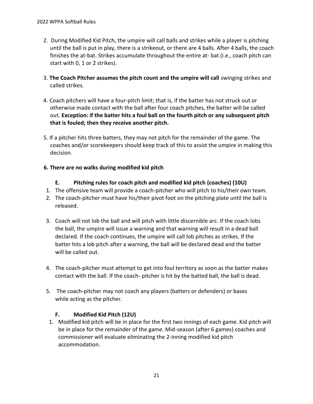- 2. During Modified Kid Pitch, the umpire will call balls and strikes while a player is pitching until the ball is put in play, there is a strikeout, or there are 4 balls. After 4 balls, the coach finishes the at-bat. Strikes accumulate throughout the entire at- bat (i.e., coach pitch can start with 0, 1 or 2 strikes).
- 3. **The Coach Pitcher assumes the pitch count and the umpire will call** swinging strikes and called strikes.
- 4. Coach pitchers will have a four-pitch limit; that is, if the batter has not struck out or otherwise made contact with the ball after four coach pitches, the batter will be called out. **Exception: if the batter hits a foul ball on the fourth pitch or any subsequent pitch that is fouled; then they receive another pitch.**
- 5. If a pitcher hits three batters, they may not pitch for the remainder of the game. The coaches and/or scorekeepers should keep track of this to assist the umpire in making this decision.

# **6. There are no walks during modified kid pitch**

- **E. Pitching rules for coach pitch and modified kid pitch (coaches) (10U)**
- 1. The offensive team will provide a coach-pitcher who will pitch to his/their own team.
- 2. The coach-pitcher must have his/their pivot foot on the pitching plate until the ball is released.
- 3. Coach will not lob the ball and will pitch with little discernible arc. If the coach lobs the ball, the umpire will issue a warning and that warning will result in a dead ball declared. If the coach continues, the umpire will call lob pitches as strikes. If the batter hits a lob pitch after a warning, the ball will be declared dead and the batter will be called out.
- 4. The coach-pitcher must attempt to get into foul territory as soon as the batter makes contact with the ball. If the coach- pitcher is hit by the batted ball, the ball is dead.
- 5. The coach-pitcher may not coach any players (batters or defenders) or bases while acting as the pitcher.

# **F. Modified Kid Pitch (12U)**

1. Modified kid pitch will be in place for the first two innings of each game. Kid pitch will be in place for the remainder of the game. Mid-season (after 6 games) coaches and commissioner will evaluate eliminating the 2-inning modified kid pitch accommodation.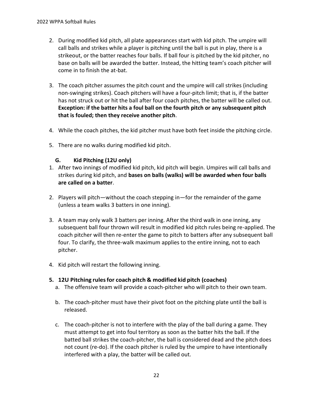- 2. During modified kid pitch, all plate appearances start with kid pitch. The umpire will call balls and strikes while a player is pitching until the ball is put in play, there is a strikeout, or the batter reaches four balls. If ball four is pitched by the kid pitcher, no base on balls will be awarded the batter. Instead, the hitting team's coach pitcher will come in to finish the at-bat.
- 3. The coach pitcher assumes the pitch count and the umpire will call strikes (including non-swinging strikes). Coach pitchers will have a four-pitch limit; that is, if the batter has not struck out or hit the ball after four coach pitches, the batter will be called out. **Exception: if the batter hits a foul ball on the fourth pitch or any subsequent pitch that is fouled; then they receive another pitch**.
- 4. While the coach pitches, the kid pitcher must have both feet inside the pitching circle.
- 5. There are no walks during modified kid pitch.

#### **G. Kid Pitching (12U only)**

- 1. After two innings of modified kid pitch, kid pitch will begin. Umpires will call balls and strikes during kid pitch, and **bases on balls (walks) will be awarded when four balls are called on a batter**.
- 2. Players will pitch—without the coach stepping in—for the remainder of the game (unless a team walks 3 batters in one inning).
- 3. A team may only walk 3 batters per inning. After the third walk in one inning, any subsequent ball four thrown will result in modified kid pitch rules being re-applied. The coach pitcher will then re-enter the game to pitch to batters after any subsequent ball four. To clarify, the three-walk maximum applies to the entire inning, not to each pitcher.
- 4. Kid pitch will restart the following inning.

#### **5. 12U Pitching rulesfor coach pitch & modified kid pitch (coaches)**

- a. The offensive team will provide a coach-pitcher who will pitch to their own team.
- b. The coach-pitcher must have their pivot foot on the pitching plate until the ball is released.
- c. The coach-pitcher is not to interfere with the play of the ball during a game. They must attempt to get into foul territory as soon as the batter hits the ball. If the batted ball strikes the coach-pitcher, the ball is considered dead and the pitch does not count (re-do). If the coach pitcher is ruled by the umpire to have intentionally interfered with a play, the batter will be called out.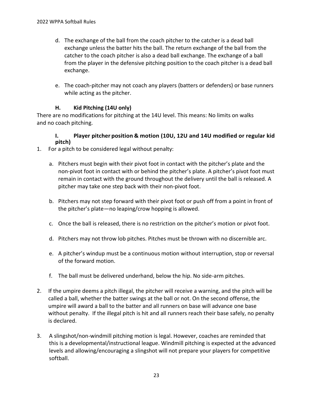- d. The exchange of the ball from the coach pitcher to the catcher is a dead ball exchange unless the batter hits the ball. The return exchange of the ball from the catcher to the coach pitcher is also a dead ball exchange. The exchange of a ball from the player in the defensive pitching position to the coach pitcher is a dead ball exchange.
- e. The coach-pitcher may not coach any players (batters or defenders) or base runners while acting as the pitcher.

# **H. Kid Pitching (14U only)**

There are no modifications for pitching at the 14U level. This means: No limits on walks and no coach pitching.

#### **I. Player pitcher position & motion (10U, 12U and 14U modified or regular kid pitch)**

- 1. For a pitch to be considered legal without penalty:
	- a. Pitchers must begin with their pivot foot in contact with the pitcher's plate and the non-pivot foot in contact with or behind the pitcher's plate. A pitcher's pivot foot must remain in contact with the ground throughout the delivery until the ball is released. A pitcher may take one step back with their non-pivot foot.
	- b. Pitchers may not step forward with their pivot foot or push off from a point in front of the pitcher's plate—no leaping/crow hopping is allowed.
	- c. Once the ball is released, there is no restriction on the pitcher's motion or pivot foot.
	- d. Pitchers may not throw lob pitches. Pitches must be thrown with no discernible arc.
	- e. A pitcher's windup must be a continuous motion without interruption, stop or reversal of the forward motion.
	- f. The ball must be delivered underhand, below the hip. No side-arm pitches.
- 2. If the umpire deems a pitch illegal, the pitcher will receive a warning, and the pitch will be called a ball, whether the batter swings at the ball or not. On the second offense, the umpire will award a ball to the batter and all runners on base will advance one base without penalty. If the illegal pitch is hit and all runners reach their base safely, no penalty is declared.
- 3. A slingshot/non-windmill pitching motion is legal. However, coaches are reminded that this is a developmental/instructional league. Windmill pitching is expected at the advanced levels and allowing/encouraging a slingshot will not prepare your players for competitive softball.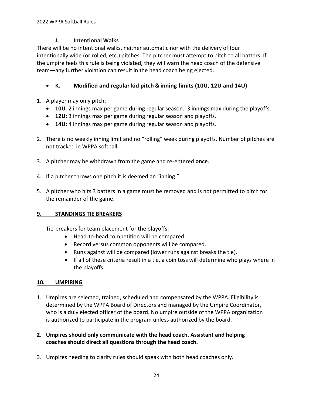## **J. Intentional Walks**

There will be no intentional walks, neither automatic nor with the delivery of four intentionally wide (or rolled, etc.) pitches. The pitcher must attempt to pitch to all batters. If the umpire feels this rule is being violated, they will warn the head coach of the defensive team—any further violation can result in the head coach being ejected.

# • **K. Modified and regular kid pitch & inning limits (10U, 12U and 14U)**

- 1. A player may only pitch:
	- **10U**: 2 innings max per game during regular season. 3 innings max during the playoffs.
	- **12U:** 3 innings max per game during regular season and playoffs.
	- **14U:** 4 innings max per game during regular season and playoffs.
- 2. There is no weekly inning limit and no "rolling" week during playoffs. Number of pitches are not tracked in WPPA softball.
- 3. A pitcher may be withdrawn from the game and re-entered **once**.
- 4. If a pitcher throws one pitch it is deemed an "inning."
- 5. A pitcher who hits 3 batters in a game must be removed and is not permitted to pitch for the remainder of the game.

#### <span id="page-23-0"></span>**9. STANDINGS TIE BREAKERS**

Tie-breakers for team placement for the playoffs:

- Head-to-head competition will be compared.
- Record versus common opponents will be compared.
- Runs against will be compared (lower runs against breaks the tie).
- If all of these criteria result in a tie, a coin toss will determine who plays where in the playoffs.

#### <span id="page-23-1"></span>**10. UMPIRING**

- 1. Umpires are selected, trained, scheduled and compensated by the WPPA. Eligibility is determined by the WPPA Board of Directors and managed by the Umpire Coordinator, who is a duly elected officer of the board. No umpire outside of the WPPA organization is authorized to participate in the program unless authorized by the board.
- **2. Umpires should only communicate with the head coach. Assistant and helping coaches should direct all questions through the head coach.**
- 3. Umpires needing to clarify rules should speak with both head coaches only.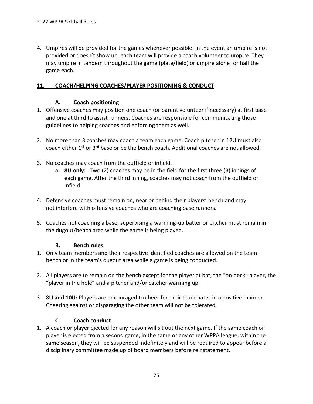4. Umpires will be provided for the games whenever possible. In the event an umpire is not provided or doesn't show up, each team will provide a coach volunteer to umpire. They may umpire in tandem throughout the game (plate/field) or umpire alone for half the game each.

#### <span id="page-24-0"></span>**11. COACH/HELPING COACHES/PLAYER POSITIONING & CONDUCT**

## **A. Coach positioning**

- 1. Offensive coaches may position one coach (or parent volunteer if necessary) at first base and one at third to assist runners. Coaches are responsible for communicating those guidelines to helping coaches and enforcing them as well.
- 2. No more than 3 coaches may coach a team each game. Coach pitcher in 12U must also coach either 1<sup>st</sup> or 3<sup>rd</sup> base or be the bench coach. Additional coaches are not allowed.
- 3. No coaches may coach from the outfield or infield.
	- a. **8U only:** Two (2) coaches may be in the field for the first three (3) innings of each game. After the third inning, coaches may not coach from the outfield or infield.
- 4. Defensive coaches must remain on, near or behind their players' bench and may not interfere with offensive coaches who are coaching base runners.
- 5. Coaches not coaching a base, supervising a warming-up batter or pitcher must remain in the dugout/bench area while the game is being played.

#### **B. Bench rules**

- 1. Only team members and their respective identified coaches are allowed on the team bench or in the team's dugout area while a game is being conducted.
- 2. All players are to remain on the bench except for the player at bat, the "on deck" player, the "player in the hole" and a pitcher and/or catcher warming up.
- 3. **8U and 10U:** Players are encouraged to cheer for their teammates in a positive manner. Cheering against or disparaging the other team will not be tolerated.

# **C. Coach conduct**

1. A coach or player ejected for any reason will sit out the next game. If the same coach or player is ejected from a second game, in the same or any other WPPA league, within the same season, they will be suspended indefinitely and will be required to appear before a disciplinary committee made up of board members before reinstatement.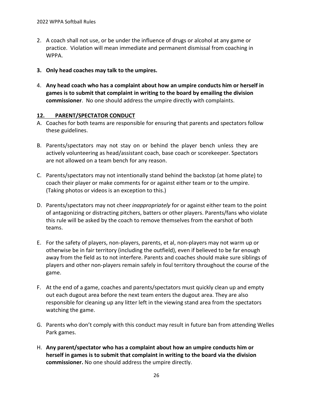- 2. A coach shall not use, or be under the influence of drugs or alcohol at any game or practice. Violation will mean immediate and permanent dismissal from coaching in WPPA.
- **3. Only head coaches may talk to the umpires.**
- 4. **Any head coach who has a complaint about how an umpire conducts him or herself in games is to submit that complaint in writing to the board by emailing the division commissioner**. No one should address the umpire directly with complaints.

#### <span id="page-25-0"></span>**12. PARENT/SPECTATOR CONDUCT**

- A. Coaches for both teams are responsible for ensuring that parents and spectators follow these guidelines.
- B. Parents/spectators may not stay on or behind the player bench unless they are actively volunteering as head/assistant coach, base coach or scorekeeper. Spectators are not allowed on a team bench for any reason.
- C. Parents/spectators may not intentionally stand behind the backstop (at home plate) to coach their player or make comments for or against either team or to the umpire. (Taking photos or videos is an exception to this.)
- D. Parents/spectators may not cheer *inappropriately* for or against either team to the point of antagonizing or distracting pitchers, batters or other players. Parents/fans who violate this rule will be asked by the coach to remove themselves from the earshot of both teams.
- E. For the safety of players, non-players, parents, et al, non-players may not warm up or otherwise be in fair territory (including the outfield), even if believed to be far enough away from the field as to not interfere. Parents and coaches should make sure siblings of players and other non-players remain safely in foul territory throughout the course of the game.
- F. At the end of a game, coaches and parents/spectators must quickly clean up and empty out each dugout area before the next team enters the dugout area. They are also responsible for cleaning up any litter left in the viewing stand area from the spectators watching the game.
- G. Parents who don't comply with this conduct may result in future ban from attending Welles Park games.
- H. **Any parent/spectator who has a complaint about how an umpire conducts him or herself in games is to submit that complaint in writing to the board via the division commissioner.** No one should address the umpire directly.